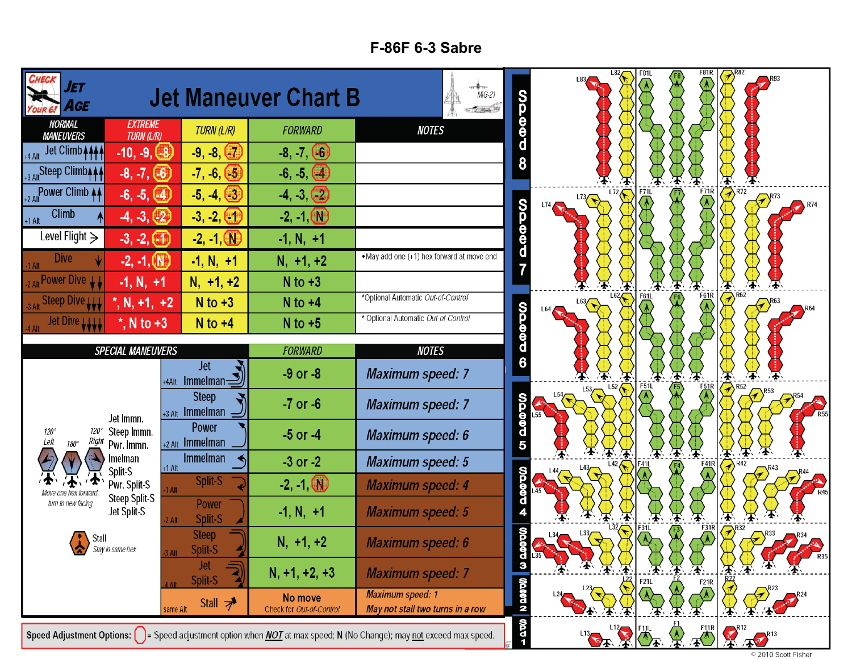## **F-86F 6-3 Sabre**

| IET<br>AGE                           |                                      |                                          | <b>Jet Maneuver Chart B</b>                                                                                                                                           | $MIG-21$<br>在院基本的                                           | <b>OOD</b>              | L82,                       | <b>F81L</b>               | F81R                                 | $\mathbb{R}^{82}$                                                                             |                     |
|--------------------------------------|--------------------------------------|------------------------------------------|-----------------------------------------------------------------------------------------------------------------------------------------------------------------------|-------------------------------------------------------------|-------------------------|----------------------------|---------------------------|--------------------------------------|-----------------------------------------------------------------------------------------------|---------------------|
| <b>NORMAL</b><br><b>MANEUVERS</b>    | <b>EXTREME</b><br><b>TURN (L/R)</b>  | TURN (L/R)                               | <b>FORWARD</b>                                                                                                                                                        | <b>NOTES</b>                                                |                         |                            |                           |                                      |                                                                                               |                     |
| Jet Climb <b>AAAA</b><br>$+4$ Alt    | $-10, -9, -8$                        | $-9, -8, (-7)$                           | $-8, -7, (-6)$                                                                                                                                                        |                                                             |                         |                            |                           |                                      |                                                                                               |                     |
| +3 Alt Steep Climb <sub>444</sub>    | $-8, -7, (-6)$                       | $-7, -6, (-5)$                           | $-6, -5, (4)$                                                                                                                                                         |                                                             |                         |                            |                           |                                      |                                                                                               |                     |
| +2 Alt Power Climb 44                | $-6, -5, (4)$                        | $-5, -4, (-3)$                           | $-4, -3, -2$                                                                                                                                                          |                                                             |                         | $L$ 72 $\leftarrow$<br>L73 | <b>F71L</b>               | $F_{1/1R}$                           | $\overline{\bigotimes}$ R72<br><b>R74</b>                                                     |                     |
| Climb<br>$+1$ Alt                    | $-4, -3, (-2)$                       | $-3, -2,$                                | $-2, -1$ (N)                                                                                                                                                          |                                                             |                         |                            |                           |                                      |                                                                                               |                     |
| Level Flight $\geq$                  | $-3, -2, (-1)$                       | $-2, -1, 0$                              | $-1, N, +1$                                                                                                                                                           |                                                             | <b>99997</b>            |                            |                           |                                      |                                                                                               |                     |
| <b>Dive</b><br>$-1$ Alt              | $-2, -1, (N)$                        | $-1, N, +1$                              | $N, +1, +2$                                                                                                                                                           | . May add one (+1) hex forward at move end                  |                         |                            |                           |                                      |                                                                                               |                     |
| 2 Alt Power Dive LL                  | $-1, N, +1$                          | $N, +1, +2$                              | $N$ to $+3$                                                                                                                                                           |                                                             |                         | L62                        | F61                       | $\blacktriangleright$<br><b>F61R</b> | 生                                                                                             |                     |
| Steep Dive W                         | $^*$ , N, +1, +2                     | $N$ to $+3$                              | $N$ to $+4$                                                                                                                                                           | *Optional Automatic Out-of-Control                          |                         | L63<br>L64/                |                           |                                      | $\mathcal{D}^{R62}$                                                                           |                     |
| Jet Dive LLLL                        | $^*$ , N to +3                       | $N$ to $+4$                              | $N$ to $+5$                                                                                                                                                           | * Optional Automatic Out-of-Control                         | <b>OD DOD DO</b>        |                            |                           |                                      |                                                                                               |                     |
|                                      | <b>SPECIAL MANEUVERS</b>             |                                          | <b>FORWARD</b>                                                                                                                                                        | <b>NOTES</b>                                                |                         |                            |                           |                                      |                                                                                               |                     |
|                                      |                                      | <b>Jet</b><br>+4Alt Immelman $\supseteq$ | $-9$ or $-8$                                                                                                                                                          | <b>Maximum speed: 7</b>                                     |                         | L52                        | F51L                      | 小小                                   |                                                                                               |                     |
|                                      | Jet Immn.                            |                                          | <b>Steep</b><br>$+3$ Alt Immelman -                                                                                                                                   | $-7$ or $-6$                                                | <b>Maximum speed: 7</b> |                            | 1.53<br>$154 \rightarrow$ |                                      | $\overline{A}$                                                                                | $\mathcal{P}^{R52}$ |
| 120°<br>Left<br>Right<br>$180^\circ$ | Steep Immn.<br>Pwr. Immn.            | Power<br>$+2$ Alt Immelman               | $-5$ or $-4$                                                                                                                                                          | <b>Maximum speed: 6</b>                                     | <b>0000000</b>          |                            |                           |                                      |                                                                                               |                     |
|                                      | lmelman<br>Split-S                   | <b>Immelman</b><br>$+1$ Alt              | $-3$ or $-2$                                                                                                                                                          | <b>Maximum speed: 5</b>                                     |                         |                            | 凓                         | 不<br><b>F41R</b>                     | $\boldsymbol{\mathcal{F}}$<br>$\mathcal{R}$ <sup>R42</sup><br>$\mathcal{P}^{R43}$             |                     |
|                                      | Pwr. Split-S<br><b>Steep Split-S</b> | Split-S<br>1 Alt                         | $-2, -1$ $N$                                                                                                                                                          | <b>Maximum speed: 4</b>                                     | <b>UDDOD</b>            |                            |                           |                                      |                                                                                               |                     |
| turn to new facing                   | Jet Split-S                          | Power<br>Split-S<br>$-2$ Alt             | $-1, N, +1$                                                                                                                                                           | <b>Maximum speed: 5</b>                                     |                         |                            | 承<br>F31L                 | 法<br><b>F31R</b>                     |                                                                                               |                     |
| Stall                                | Stay in same hex                     | <b>Steep</b><br>Split-S                  | $N, +1, +2$                                                                                                                                                           | <b>Maximum speed: 6</b>                                     | 00ao                    |                            |                           |                                      | $\left\langle \triangledown \right\rangle^{\mathrm{R}32}$<br>$\mathbb{R}^{R33}$<br><b>R35</b> |                     |
|                                      |                                      | Jet<br>Split-S                           | $N, +1, +2, +3$                                                                                                                                                       | <b>Maximum speed: 7</b>                                     | $\frac{d}{3}$           |                            | F21L                      | F21R                                 |                                                                                               |                     |
|                                      |                                      | Stall $\nabla$<br>same Alt               | No move<br>Check for Out-of-Control                                                                                                                                   | <b>Maximum speed: 1</b><br>May not stall two turns in a row | N QOOD                  |                            |                           |                                      |                                                                                               |                     |
|                                      |                                      |                                          | <b>Speed Adjustment Options:</b> $\begin{bmatrix} \ \ \end{bmatrix}$ = Speed adjustment option when <i>NOT</i> at max speed; N (No Change); may not exceed max speed. | $-200$                                                      | L13 12 FILL             |                            |                           | <b>A FUR</b><br><b>A</b> FUR         |                                                                                               |                     |

© 2010 Scott Fisher